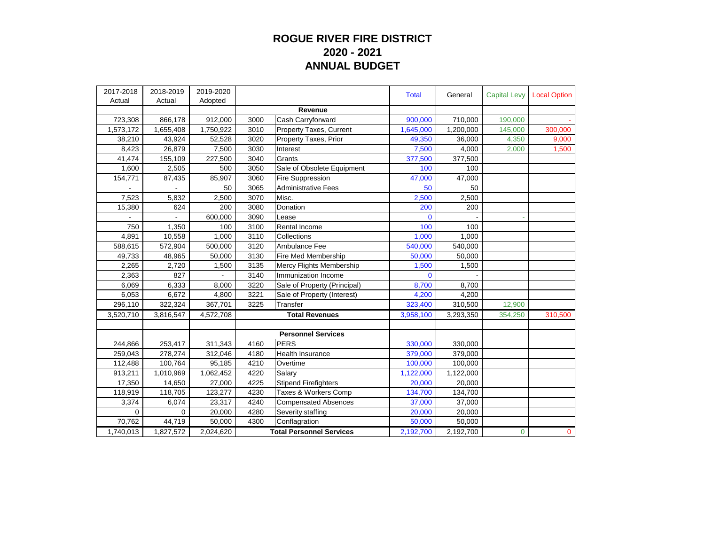## **ROGUE RIVER FIRE DISTRICT 2020 - 2021 ANNUAL BUDGET**

| 2017-2018<br>Actual | 2018-2019<br>Actual | 2019-2020<br>Adopted |                                 |                                | <b>Total</b>   | General   | <b>Capital Levy</b> | <b>Local Option</b> |
|---------------------|---------------------|----------------------|---------------------------------|--------------------------------|----------------|-----------|---------------------|---------------------|
|                     |                     |                      |                                 | Revenue                        |                |           |                     |                     |
| 723,308             | 866,178             | 912,000              | 3000                            | Cash Carryforward              | 900,000        | 710,000   | 190,000             |                     |
| 1,573,172           | 1,655,408           | 1,750,922            | 3010                            | <b>Property Taxes, Current</b> | 1,645,000      | 1,200,000 | 145,000             | 300,000             |
| 38,210              | 43,924              | 52,528               | 3020                            | Property Taxes, Prior          | 49,350         | 36,000    | 4,350               | 9,000               |
| 8,423               | 26,879              | 7,500                | 3030                            | Interest                       | 7,500          | 4,000     | 2,000               | 1,500               |
| 41,474              | 155,109             | 227,500              | 3040                            | Grants                         | 377,500        | 377,500   |                     |                     |
| 1,600               | 2,505               | 500                  | 3050                            | Sale of Obsolete Equipment     | 100            | 100       |                     |                     |
| 154,771             | 87,435              | 85,907               | 3060                            | <b>Fire Suppression</b>        | 47,000         | 47,000    |                     |                     |
|                     |                     | 50                   | 3065                            | <b>Administrative Fees</b>     | 50             | 50        |                     |                     |
| 7,523               | 5,832               | 2,500                | 3070                            | Misc.                          | 2,500          | 2,500     |                     |                     |
| 15,380              | 624                 | 200                  | 3080                            | Donation                       | 200            | 200       |                     |                     |
|                     |                     | 600,000              | 3090                            | Lease                          | $\overline{0}$ |           |                     |                     |
| 750                 | 1,350               | 100                  | 3100                            | Rental Income                  | 100            | 100       |                     |                     |
| 4,891               | 10,558              | 1.000                | 3110                            | Collections                    | 1,000          | 1,000     |                     |                     |
| 588,615             | 572,904             | 500,000              | 3120                            | Ambulance Fee                  | 540,000        | 540,000   |                     |                     |
| 49,733              | 48,965              | 50,000               | 3130                            | Fire Med Membership            | 50,000         | 50,000    |                     |                     |
| 2,265               | 2,720               | 1,500                | 3135                            | Mercy Flights Membership       | 1,500          | 1,500     |                     |                     |
| 2,363               | 827                 |                      | 3140                            | Immunization Income            | $\Omega$       |           |                     |                     |
| 6,069               | 6,333               | 8,000                | 3220                            | Sale of Property (Principal)   | 8,700          | 8,700     |                     |                     |
| 6,053               | 6,672               | 4,800                | 3221                            | Sale of Property (Interest)    | 4,200          | 4,200     |                     |                     |
| 296,110             | 322,324             | 367,701              | 3225                            | Transfer                       | 323,400        | 310,500   | 12,900              |                     |
| 3,520,710           | 3,816,547           | 4,572,708            | <b>Total Revenues</b>           |                                | 3,958,100      | 3,293,350 | 354,250             | 310,500             |
|                     |                     |                      |                                 |                                |                |           |                     |                     |
|                     |                     |                      |                                 | <b>Personnel Services</b>      |                |           |                     |                     |
| 244,866             | 253,417             | 311,343              | 4160                            | PERS                           | 330,000        | 330,000   |                     |                     |
| 259,043             | 278,274             | 312,046              | 4180                            | <b>Health Insurance</b>        | 379,000        | 379,000   |                     |                     |
| 112,488             | 100,764             | 95,185               | 4210                            | Overtime                       | 100,000        | 100,000   |                     |                     |
| 913,211             | 1,010,969           | 1,062,452            | 4220                            | Salary                         | 1,122,000      | 1,122,000 |                     |                     |
| 17,350              | 14,650              | 27,000               | 4225                            | Stipend Firefighters           | 20,000         | 20,000    |                     |                     |
| 118,919             | 118,705             | 123,277              | 4230                            | Taxes & Workers Comp           | 134,700        | 134,700   |                     |                     |
| 3,374               | 6,074               | 23,317               | 4240                            | <b>Compensated Absences</b>    | 37,000         | 37,000    |                     |                     |
| 0                   | 0                   | 20,000               | 4280                            | Severity staffing              | 20,000         | 20,000    |                     |                     |
| 70,762              | 44,719              | 50,000               | 4300                            | Conflagration                  | 50,000         | 50,000    |                     |                     |
| 1,740,013           | 1,827,572           | 2,024,620            | <b>Total Personnel Services</b> |                                | 2,192,700      | 2,192,700 | $\mathbf 0$         | $\mathbf{0}$        |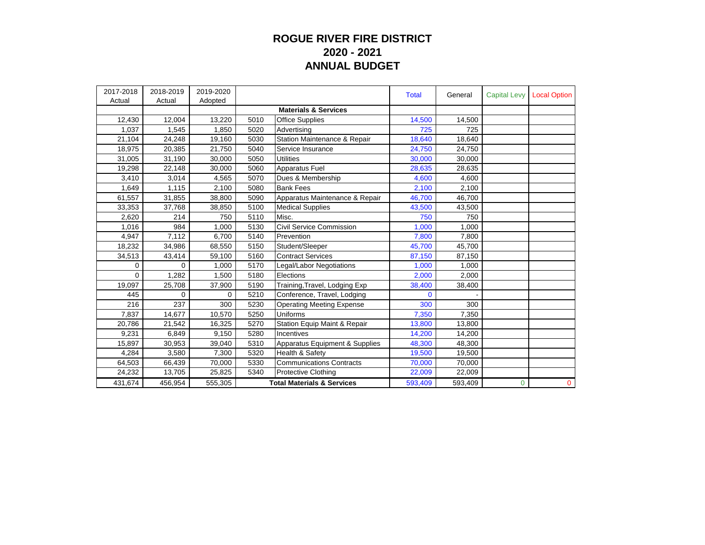## **ROGUE RIVER FIRE DISTRICT 2020 - 2021 ANNUAL BUDGET**

| 2017-2018<br>Actual | 2018-2019<br>Actual | 2019-2020<br>Adopted |      |                                       | <b>Total</b> | General | <b>Capital Levy</b> | <b>Local Option</b> |
|---------------------|---------------------|----------------------|------|---------------------------------------|--------------|---------|---------------------|---------------------|
|                     |                     |                      |      | <b>Materials &amp; Services</b>       |              |         |                     |                     |
| 12,430              | 12,004              | 13,220               | 5010 | Office Supplies                       | 14,500       | 14,500  |                     |                     |
| 1,037               | 1,545               | 1,850                | 5020 | Advertisina                           | 725          | 725     |                     |                     |
| 21,104              | 24,248              | 19,160               | 5030 | Station Maintenance & Repair          | 18,640       | 18,640  |                     |                     |
| 18,975              | 20,385              | 21,750               | 5040 | Service Insurance                     | 24,750       | 24,750  |                     |                     |
| 31,005              | 31,190              | 30,000               | 5050 | Utilities                             | 30,000       | 30.000  |                     |                     |
| 19,298              | 22,148              | 30,000               | 5060 | Apparatus Fuel                        | 28,635       | 28,635  |                     |                     |
| 3,410               | 3,014               | 4,565                | 5070 | Dues & Membership                     | 4,600        | 4,600   |                     |                     |
| 1,649               | 1,115               | 2,100                | 5080 | <b>Bank Fees</b>                      | 2,100        | 2,100   |                     |                     |
| 61,557              | 31,855              | 38,800               | 5090 | Apparatus Maintenance & Repair        | 46,700       | 46,700  |                     |                     |
| 33,353              | 37,768              | 38,850               | 5100 | <b>Medical Supplies</b>               | 43,500       | 43,500  |                     |                     |
| 2,620               | 214                 | 750                  | 5110 | Misc.                                 | 750          | 750     |                     |                     |
| 1,016               | 984                 | 1,000                | 5130 | Civil Service Commission              | 1,000        | 1,000   |                     |                     |
| 4,947               | 7,112               | 6,700                | 5140 | Prevention                            | 7,800        | 7,800   |                     |                     |
| 18,232              | 34,986              | 68,550               | 5150 | Student/Sleeper                       | 45,700       | 45,700  |                     |                     |
| 34,513              | 43,414              | 59,100               | 5160 | <b>Contract Services</b>              | 87,150       | 87,150  |                     |                     |
| 0                   | 0                   | 1,000                | 5170 | Legal/Labor Negotiations              | 1,000        | 1,000   |                     |                     |
| $\Omega$            | 1,282               | 1,500                | 5180 | Elections                             | 2,000        | 2,000   |                     |                     |
| 19,097              | 25,708              | 37,900               | 5190 | Training, Travel, Lodging Exp         | 38,400       | 38,400  |                     |                     |
| 445                 | $\Omega$            | $\Omega$             | 5210 | Conference, Travel, Lodging           | $\Omega$     |         |                     |                     |
| 216                 | 237                 | 300                  | 5230 | <b>Operating Meeting Expense</b>      | 300          | 300     |                     |                     |
| 7,837               | 14,677              | 10,570               | 5250 | Uniforms                              | 7,350        | 7,350   |                     |                     |
| 20,786              | 21,542              | 16,325               | 5270 | Station Equip Maint & Repair          | 13,800       | 13,800  |                     |                     |
| 9.231               | 6,849               | 9,150                | 5280 | Incentives                            | 14,200       | 14.200  |                     |                     |
| 15,897              | 30,953              | 39,040               | 5310 | Apparatus Equipment & Supplies        | 48,300       | 48,300  |                     |                     |
| 4,284               | 3,580               | 7,300                | 5320 | Health & Safety                       | 19,500       | 19,500  |                     |                     |
| 64,503              | 66,439              | 70,000               | 5330 | <b>Communications Contracts</b>       | 70,000       | 70,000  |                     |                     |
| 24,232              | 13,705              | 25,825               | 5340 | <b>Protective Clothing</b>            | 22,009       | 22,009  |                     |                     |
| 431,674             | 456,954             | 555,305              |      | <b>Total Materials &amp; Services</b> | 593,409      | 593,409 | $\Omega$            | $\mathbf{0}$        |